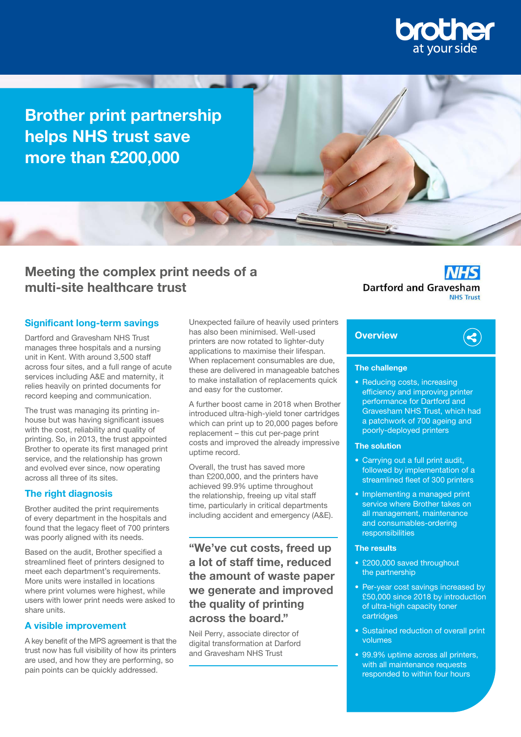

Brother print partnership helps NHS trust save more than £200,000

# Meeting the complex print needs of a multi-site healthcare trust

### Significant long-term savings

Dartford and Gravesham NHS Trust manages three hospitals and a nursing unit in Kent. With around 3,500 staff across four sites, and a full range of acute services including A&E and maternity, it relies heavily on printed documents for record keeping and communication.

The trust was managing its printing inhouse but was having significant issues with the cost, reliability and quality of printing. So, in 2013, the trust appointed Brother to operate its first managed print service, and the relationship has grown and evolved ever since, now operating across all three of its sites.

# **The right diagnosis**

Brother audited the print requirements of every department in the hospitals and found that the legacy fleet of 700 printers was poorly aligned with its needs.

Based on the audit, Brother specified a streamlined fleet of printers designed to meet each department's requirements. More units were installed in locations where print volumes were highest, while users with lower print needs were asked to share units.

### A visible improvement

A key benefit of the MPS agreement is that the trust now has full visibility of how its printers are used, and how they are performing, so pain points can be quickly addressed.

Unexpected failure of heavily used printers has also been minimised. Well-used printers are now rotated to lighter-duty applications to maximise their lifespan. When replacement consumables are due, these are delivered in manageable batches to make installation of replacements quick and easy for the customer.

A further boost came in 2018 when Brother introduced ultra-high-yield toner cartridges which can print up to 20,000 pages before replacement – this cut per-page print costs and improved the already impressive uptime record.

Overall, the trust has saved more than £200,000, and the printers have achieved 99.9% uptime throughout the relationship, freeing up vital staff time, particularly in critical departments including accident and emergency (A&E).

"We've cut costs, freed up a lot of staff time, reduced the amount of waste paper we generate and improved the quality of printing across the board."

Neil Perry, associate director of digital transformation at Darford and Gravesham NHS Trust

**Dartford and Gravesham NHS Trust** 

# **Overview**



### The challenge

• Reducing costs, increasing efficiency and improving printer performance for Dartford and Gravesham NHS Trust, which had a patchwork of 700 ageing and poorly-deployed printers

#### The solution

- Carrying out a full print audit, followed by implementation of a streamlined fleet of 300 printers
- Implementing a managed print service where Brother takes on all management, maintenance and consumables-ordering responsibilities

### The results

- £200,000 saved throughout the partnership
- Per-year cost savings increased by £50,000 since 2018 by introduction of ultra-high capacity toner cartridges
- Sustained reduction of overall print volumes
- 99.9% uptime across all printers, with all maintenance requests responded to within four hours